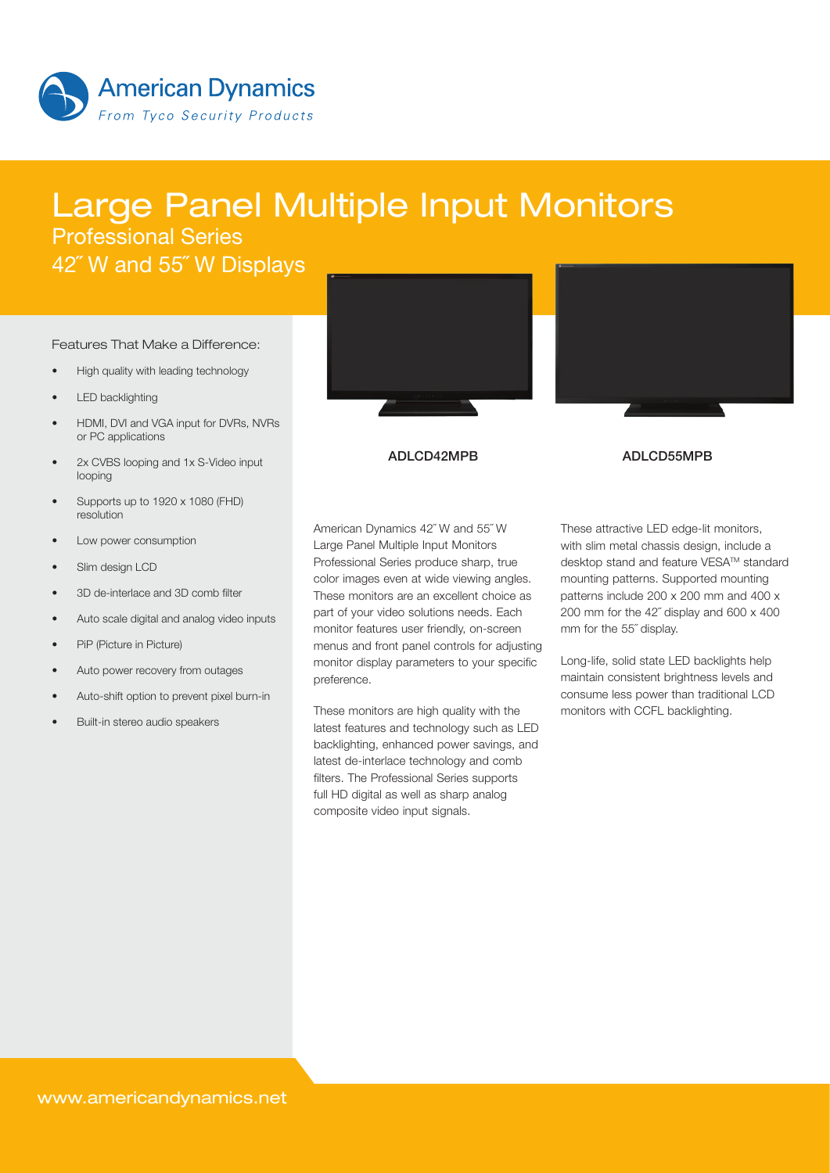

# Large Panel Multiple Input Monitors Professional Series

42˝ W and 55˝ W Displays

#### Features That Make a Difference:

- High quality with leading technology
- **LED** backlighting
- HDMI, DVI and VGA input for DVRs, NVRs or PC applications
- 2x CVBS looping and 1x S-Video input looping
- Supports up to 1920 x 1080 (FHD) resolution
- Low power consumption
- Slim design LCD
- 3D de-interlace and 3D comb filter
- Auto scale digital and analog video inputs
- PiP (Picture in Picture)
- Auto power recovery from outages
- Auto-shift option to prevent pixel burn-in
- Built-in stereo audio speakers





### ADLCD42MPB ADLCD55MPB

American Dynamics 42˝ W and 55˝ W Large Panel Multiple Input Monitors Professional Series produce sharp, true color images even at wide viewing angles. These monitors are an excellent choice as part of your video solutions needs. Each monitor features user friendly, on-screen menus and front panel controls for adjusting monitor display parameters to your specific preference.

These monitors are high quality with the latest features and technology such as LED backlighting, enhanced power savings, and latest de-interlace technology and comb filters. The Professional Series supports full HD digital as well as sharp analog composite video input signals.

These attractive LED edge-lit monitors. with slim metal chassis design, include a desktop stand and feature VESA™ standard mounting patterns. Supported mounting patterns include 200 x 200 mm and 400 x 200 mm for the 42˝ display and 600 x 400 mm for the 55˝ display.

Long-life, solid state LED backlights help maintain consistent brightness levels and consume less power than traditional LCD monitors with CCFL backlighting.